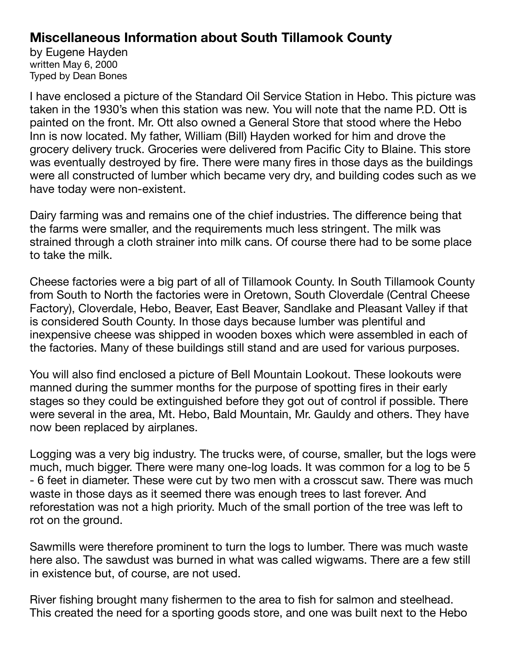## **Miscellaneous Information about South Tillamook County**

by Eugene Hayden written May 6, 2000 Typed by Dean Bones

I have enclosed a picture of the Standard Oil Service Station in Hebo. This picture was taken in the 1930's when this station was new. You will note that the name P.D. Ott is painted on the front. Mr. Ott also owned a General Store that stood where the Hebo Inn is now located. My father, William (Bill) Hayden worked for him and drove the grocery delivery truck. Groceries were delivered from Pacific City to Blaine. This store was eventually destroyed by fire. There were many fires in those days as the buildings were all constructed of lumber which became very dry, and building codes such as we have today were non-existent.

Dairy farming was and remains one of the chief industries. The difference being that the farms were smaller, and the requirements much less stringent. The milk was strained through a cloth strainer into milk cans. Of course there had to be some place to take the milk.

Cheese factories were a big part of all of Tillamook County. In South Tillamook County from South to North the factories were in Oretown, South Cloverdale (Central Cheese Factory), Cloverdale, Hebo, Beaver, East Beaver, Sandlake and Pleasant Valley if that is considered South County. In those days because lumber was plentiful and inexpensive cheese was shipped in wooden boxes which were assembled in each of the factories. Many of these buildings still stand and are used for various purposes.

You will also find enclosed a picture of Bell Mountain Lookout. These lookouts were manned during the summer months for the purpose of spotting fires in their early stages so they could be extinguished before they got out of control if possible. There were several in the area, Mt. Hebo, Bald Mountain, Mr. Gauldy and others. They have now been replaced by airplanes.

Logging was a very big industry. The trucks were, of course, smaller, but the logs were much, much bigger. There were many one-log loads. It was common for a log to be 5 - 6 feet in diameter. These were cut by two men with a crosscut saw. There was much waste in those days as it seemed there was enough trees to last forever. And reforestation was not a high priority. Much of the small portion of the tree was left to rot on the ground.

Sawmills were therefore prominent to turn the logs to lumber. There was much waste here also. The sawdust was burned in what was called wigwams. There are a few still in existence but, of course, are not used.

River fishing brought many fishermen to the area to fish for salmon and steelhead. This created the need for a sporting goods store, and one was built next to the Hebo